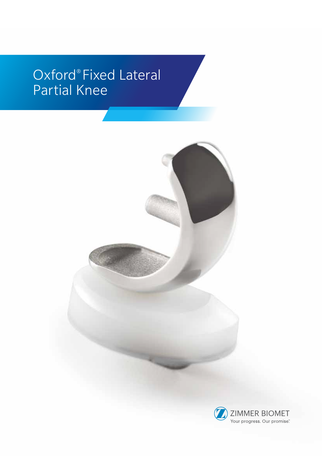# Oxford® Fixed Lateral Partial Knee

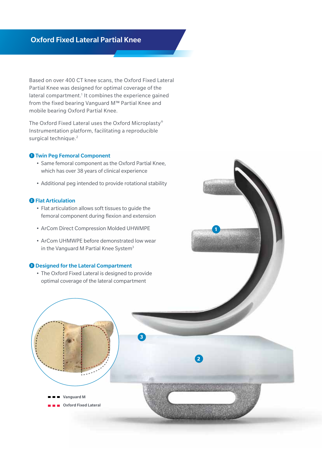## Oxford Fixed Lateral Partial Knee

Based on over 400 CT knee scans, the Oxford Fixed Lateral Partial Knee was designed for optimal coverage of the lateral compartment.<sup>1</sup> It combines the experience gained from the fixed bearing Vanguard M™ Partial Knee and mobile bearing Oxford Partial Knee.

The Oxford Fixed Lateral uses the Oxford Microplasty® Instrumentation platform, facilitating a reproducible surgical technique.<sup>2</sup>

## **<sup>1</sup>** Twin Peg Femoral Component

- Same femoral component as the Oxford Partial Knee, which has over 38 years of clinical experience
- Additional peg intended to provide rotational stability

## **<sup>2</sup>** Flat Articulation

- Flat articulation allows soft tissues to guide the femoral component during flexion and extension
- ArCom Direct Compression Molded UHWMPE
- ArCom UHMWPE before demonstrated low wear in the Vanguard M Partial Knee System<sup>3</sup>

## **<sup>3</sup>** Designed for the Lateral Compartment

• The Oxford Fixed Lateral is designed to provide optimal coverage of the lateral compartment

**3**



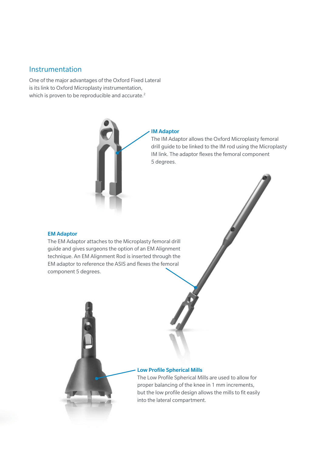## Instrumentation

One of the major advantages of the Oxford Fixed Lateral is its link to Oxford Microplasty instrumentation, which is proven to be reproducible and accurate.<sup>2</sup>



#### IM Adaptor

The IM Adaptor allows the Oxford Microplasty femoral drill guide to be linked to the IM rod using the Microplasty IM link. The adaptor flexes the femoral component 5 degrees.

## EM Adaptor

The EM Adaptor attaches to the Microplasty femoral drill guide and gives surgeons the option of an EM Alignment technique. An EM Alignment Rod is inserted through the EM adaptor to reference the ASIS and flexes the femoral component 5 degrees.

## Low Profile Spherical Mills

The Low Profile Spherical Mills are used to allow for proper balancing of the knee in 1 mm increments, but the low profile design allows the mills to fit easily into the lateral compartment.